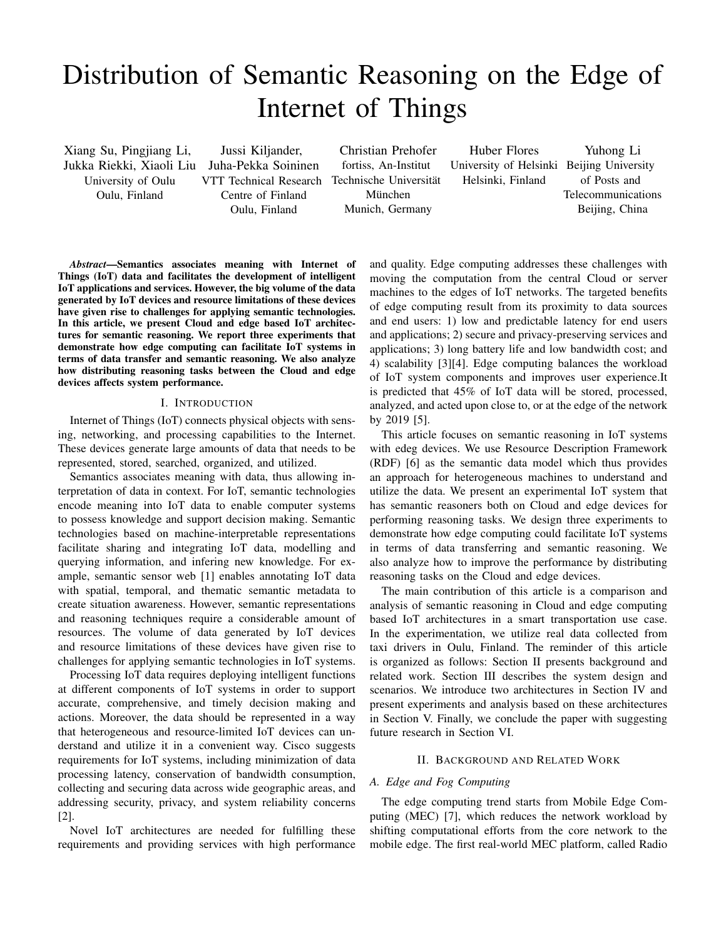# Distribution of Semantic Reasoning on the Edge of Internet of Things

Xiang Su, Pingjiang Li, Jukka Riekki, Xiaoli Liu University of Oulu Oulu, Finland

Jussi Kiljander, Juha-Pekka Soininen VTT Technical Research Technische Universitat¨ Centre of Finland Oulu, Finland

Christian Prehofer fortiss, An-Institut **München** Munich, Germany

Huber Flores University of Helsinki Beijing University Helsinki, Finland

Yuhong Li of Posts and Telecommunications Beijing, China

*Abstract*—Semantics associates meaning with Internet of Things (IoT) data and facilitates the development of intelligent IoT applications and services. However, the big volume of the data generated by IoT devices and resource limitations of these devices have given rise to challenges for applying semantic technologies. In this article, we present Cloud and edge based IoT architectures for semantic reasoning. We report three experiments that demonstrate how edge computing can facilitate IoT systems in terms of data transfer and semantic reasoning. We also analyze how distributing reasoning tasks between the Cloud and edge devices affects system performance.

## I. INTRODUCTION

Internet of Things (IoT) connects physical objects with sensing, networking, and processing capabilities to the Internet. These devices generate large amounts of data that needs to be represented, stored, searched, organized, and utilized.

Semantics associates meaning with data, thus allowing interpretation of data in context. For IoT, semantic technologies encode meaning into IoT data to enable computer systems to possess knowledge and support decision making. Semantic technologies based on machine-interpretable representations facilitate sharing and integrating IoT data, modelling and querying information, and infering new knowledge. For example, semantic sensor web [1] enables annotating IoT data with spatial, temporal, and thematic semantic metadata to create situation awareness. However, semantic representations and reasoning techniques require a considerable amount of resources. The volume of data generated by IoT devices and resource limitations of these devices have given rise to challenges for applying semantic technologies in IoT systems.

Processing IoT data requires deploying intelligent functions at different components of IoT systems in order to support accurate, comprehensive, and timely decision making and actions. Moreover, the data should be represented in a way that heterogeneous and resource-limited IoT devices can understand and utilize it in a convenient way. Cisco suggests requirements for IoT systems, including minimization of data processing latency, conservation of bandwidth consumption, collecting and securing data across wide geographic areas, and addressing security, privacy, and system reliability concerns [2].

Novel IoT architectures are needed for fulfilling these requirements and providing services with high performance and quality. Edge computing addresses these challenges with moving the computation from the central Cloud or server machines to the edges of IoT networks. The targeted benefits of edge computing result from its proximity to data sources and end users: 1) low and predictable latency for end users and applications; 2) secure and privacy-preserving services and applications; 3) long battery life and low bandwidth cost; and 4) scalability [3][4]. Edge computing balances the workload of IoT system components and improves user experience.It is predicted that 45% of IoT data will be stored, processed, analyzed, and acted upon close to, or at the edge of the network by 2019 [5].

This article focuses on semantic reasoning in IoT systems with edeg devices. We use Resource Description Framework (RDF) [6] as the semantic data model which thus provides an approach for heterogeneous machines to understand and utilize the data. We present an experimental IoT system that has semantic reasoners both on Cloud and edge devices for performing reasoning tasks. We design three experiments to demonstrate how edge computing could facilitate IoT systems in terms of data transferring and semantic reasoning. We also analyze how to improve the performance by distributing reasoning tasks on the Cloud and edge devices.

The main contribution of this article is a comparison and analysis of semantic reasoning in Cloud and edge computing based IoT architectures in a smart transportation use case. In the experimentation, we utilize real data collected from taxi drivers in Oulu, Finland. The reminder of this article is organized as follows: Section II presents background and related work. Section III describes the system design and scenarios. We introduce two architectures in Section IV and present experiments and analysis based on these architectures in Section V. Finally, we conclude the paper with suggesting future research in Section VI.

#### II. BACKGROUND AND RELATED WORK

# *A. Edge and Fog Computing*

The edge computing trend starts from Mobile Edge Computing (MEC) [7], which reduces the network workload by shifting computational efforts from the core network to the mobile edge. The first real-world MEC platform, called Radio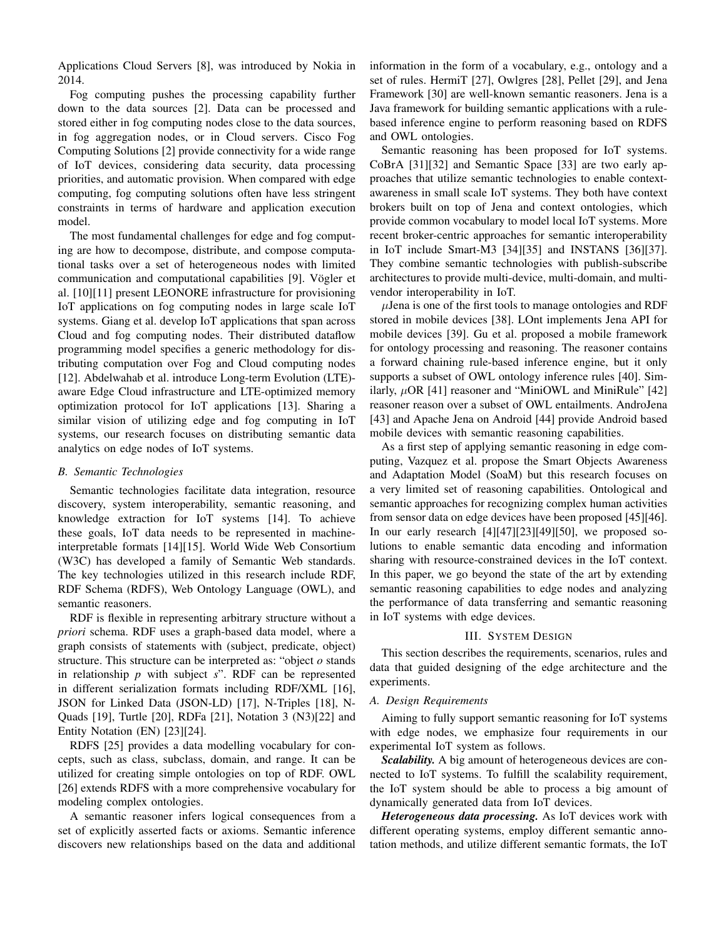Applications Cloud Servers [8], was introduced by Nokia in 2014.

Fog computing pushes the processing capability further down to the data sources [2]. Data can be processed and stored either in fog computing nodes close to the data sources, in fog aggregation nodes, or in Cloud servers. Cisco Fog Computing Solutions [2] provide connectivity for a wide range of IoT devices, considering data security, data processing priorities, and automatic provision. When compared with edge computing, fog computing solutions often have less stringent constraints in terms of hardware and application execution model.

The most fundamental challenges for edge and fog computing are how to decompose, distribute, and compose computational tasks over a set of heterogeneous nodes with limited communication and computational capabilities [9]. Vögler et al. [10][11] present LEONORE infrastructure for provisioning IoT applications on fog computing nodes in large scale IoT systems. Giang et al. develop IoT applications that span across Cloud and fog computing nodes. Their distributed dataflow programming model specifies a generic methodology for distributing computation over Fog and Cloud computing nodes [12]. Abdelwahab et al. introduce Long-term Evolution (LTE) aware Edge Cloud infrastructure and LTE-optimized memory optimization protocol for IoT applications [13]. Sharing a similar vision of utilizing edge and fog computing in IoT systems, our research focuses on distributing semantic data analytics on edge nodes of IoT systems.

# *B. Semantic Technologies*

Semantic technologies facilitate data integration, resource discovery, system interoperability, semantic reasoning, and knowledge extraction for IoT systems [14]. To achieve these goals, IoT data needs to be represented in machineinterpretable formats [14][15]. World Wide Web Consortium (W3C) has developed a family of Semantic Web standards. The key technologies utilized in this research include RDF, RDF Schema (RDFS), Web Ontology Language (OWL), and semantic reasoners.

RDF is flexible in representing arbitrary structure without a *priori* schema. RDF uses a graph-based data model, where a graph consists of statements with (subject, predicate, object) structure. This structure can be interpreted as: "object *o* stands in relationship *p* with subject *s*". RDF can be represented in different serialization formats including RDF/XML [16], JSON for Linked Data (JSON-LD) [17], N-Triples [18], N-Quads [19], Turtle [20], RDFa [21], Notation 3 (N3)[22] and Entity Notation (EN) [23][24].

RDFS [25] provides a data modelling vocabulary for concepts, such as class, subclass, domain, and range. It can be utilized for creating simple ontologies on top of RDF. OWL [26] extends RDFS with a more comprehensive vocabulary for modeling complex ontologies.

A semantic reasoner infers logical consequences from a set of explicitly asserted facts or axioms. Semantic inference discovers new relationships based on the data and additional information in the form of a vocabulary, e.g., ontology and a set of rules. HermiT [27], Owlgres [28], Pellet [29], and Jena Framework [30] are well-known semantic reasoners. Jena is a Java framework for building semantic applications with a rulebased inference engine to perform reasoning based on RDFS and OWL ontologies.

Semantic reasoning has been proposed for IoT systems. CoBrA [31][32] and Semantic Space [33] are two early approaches that utilize semantic technologies to enable contextawareness in small scale IoT systems. They both have context brokers built on top of Jena and context ontologies, which provide common vocabulary to model local IoT systems. More recent broker-centric approaches for semantic interoperability in IoT include Smart-M3 [34][35] and INSTANS [36][37]. They combine semantic technologies with publish-subscribe architectures to provide multi-device, multi-domain, and multivendor interoperability in IoT.

 $\mu$ Jena is one of the first tools to manage ontologies and RDF stored in mobile devices [38]. LOnt implements Jena API for mobile devices [39]. Gu et al. proposed a mobile framework for ontology processing and reasoning. The reasoner contains a forward chaining rule-based inference engine, but it only supports a subset of OWL ontology inference rules [40]. Similarly,  $\mu$ OR [41] reasoner and "MiniOWL and MiniRule" [42] reasoner reason over a subset of OWL entailments. AndroJena [43] and Apache Jena on Android [44] provide Android based mobile devices with semantic reasoning capabilities.

As a first step of applying semantic reasoning in edge computing, Vazquez et al. propose the Smart Objects Awareness and Adaptation Model (SoaM) but this research focuses on a very limited set of reasoning capabilities. Ontological and semantic approaches for recognizing complex human activities from sensor data on edge devices have been proposed [45][46]. In our early research  $[4][47][23][49][50]$ , we proposed solutions to enable semantic data encoding and information sharing with resource-constrained devices in the IoT context. In this paper, we go beyond the state of the art by extending semantic reasoning capabilities to edge nodes and analyzing the performance of data transferring and semantic reasoning in IoT systems with edge devices.

## III. SYSTEM DESIGN

This section describes the requirements, scenarios, rules and data that guided designing of the edge architecture and the experiments.

#### *A. Design Requirements*

Aiming to fully support semantic reasoning for IoT systems with edge nodes, we emphasize four requirements in our experimental IoT system as follows.

*Scalability.* A big amount of heterogeneous devices are connected to IoT systems. To fulfill the scalability requirement, the IoT system should be able to process a big amount of dynamically generated data from IoT devices.

*Heterogeneous data processing.* As IoT devices work with different operating systems, employ different semantic annotation methods, and utilize different semantic formats, the IoT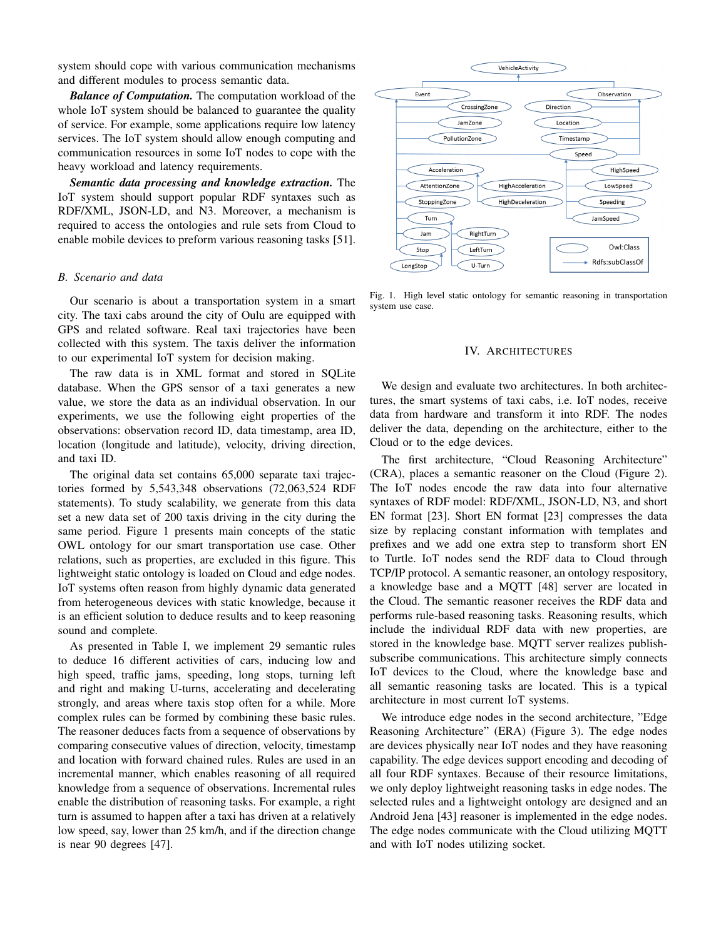system should cope with various communication mechanisms and different modules to process semantic data.

*Balance of Computation.* The computation workload of the whole IoT system should be balanced to guarantee the quality of service. For example, some applications require low latency services. The IoT system should allow enough computing and communication resources in some IoT nodes to cope with the heavy workload and latency requirements.

*Semantic data processing and knowledge extraction.* The IoT system should support popular RDF syntaxes such as RDF/XML, JSON-LD, and N3. Moreover, a mechanism is required to access the ontologies and rule sets from Cloud to enable mobile devices to preform various reasoning tasks [51].

#### *B. Scenario and data*

Our scenario is about a transportation system in a smart city. The taxi cabs around the city of Oulu are equipped with GPS and related software. Real taxi trajectories have been collected with this system. The taxis deliver the information to our experimental IoT system for decision making.

The raw data is in XML format and stored in SQLite database. When the GPS sensor of a taxi generates a new value, we store the data as an individual observation. In our experiments, we use the following eight properties of the observations: observation record ID, data timestamp, area ID, location (longitude and latitude), velocity, driving direction, and taxi ID.

The original data set contains 65,000 separate taxi trajectories formed by 5,543,348 observations (72,063,524 RDF statements). To study scalability, we generate from this data set a new data set of 200 taxis driving in the city during the same period. Figure 1 presents main concepts of the static OWL ontology for our smart transportation use case. Other relations, such as properties, are excluded in this figure. This lightweight static ontology is loaded on Cloud and edge nodes. IoT systems often reason from highly dynamic data generated from heterogeneous devices with static knowledge, because it is an efficient solution to deduce results and to keep reasoning sound and complete.

As presented in Table I, we implement 29 semantic rules to deduce 16 different activities of cars, inducing low and high speed, traffic jams, speeding, long stops, turning left and right and making U-turns, accelerating and decelerating strongly, and areas where taxis stop often for a while. More complex rules can be formed by combining these basic rules. The reasoner deduces facts from a sequence of observations by comparing consecutive values of direction, velocity, timestamp and location with forward chained rules. Rules are used in an incremental manner, which enables reasoning of all required knowledge from a sequence of observations. Incremental rules enable the distribution of reasoning tasks. For example, a right turn is assumed to happen after a taxi has driven at a relatively low speed, say, lower than 25 km/h, and if the direction change is near 90 degrees [47].



Fig. 1. High level static ontology for semantic reasoning in transportation system use case.

#### IV. ARCHITECTURES

We design and evaluate two architectures. In both architectures, the smart systems of taxi cabs, i.e. IoT nodes, receive data from hardware and transform it into RDF. The nodes deliver the data, depending on the architecture, either to the Cloud or to the edge devices.

The first architecture, "Cloud Reasoning Architecture" (CRA), places a semantic reasoner on the Cloud (Figure 2). The IoT nodes encode the raw data into four alternative syntaxes of RDF model: RDF/XML, JSON-LD, N3, and short EN format [23]. Short EN format [23] compresses the data size by replacing constant information with templates and prefixes and we add one extra step to transform short EN to Turtle. IoT nodes send the RDF data to Cloud through TCP/IP protocol. A semantic reasoner, an ontology respository, a knowledge base and a MQTT [48] server are located in the Cloud. The semantic reasoner receives the RDF data and performs rule-based reasoning tasks. Reasoning results, which include the individual RDF data with new properties, are stored in the knowledge base. MQTT server realizes publishsubscribe communications. This architecture simply connects IoT devices to the Cloud, where the knowledge base and all semantic reasoning tasks are located. This is a typical architecture in most current IoT systems.

We introduce edge nodes in the second architecture, "Edge Reasoning Architecture" (ERA) (Figure 3). The edge nodes are devices physically near IoT nodes and they have reasoning capability. The edge devices support encoding and decoding of all four RDF syntaxes. Because of their resource limitations, we only deploy lightweight reasoning tasks in edge nodes. The selected rules and a lightweight ontology are designed and an Android Jena [43] reasoner is implemented in the edge nodes. The edge nodes communicate with the Cloud utilizing MQTT and with IoT nodes utilizing socket.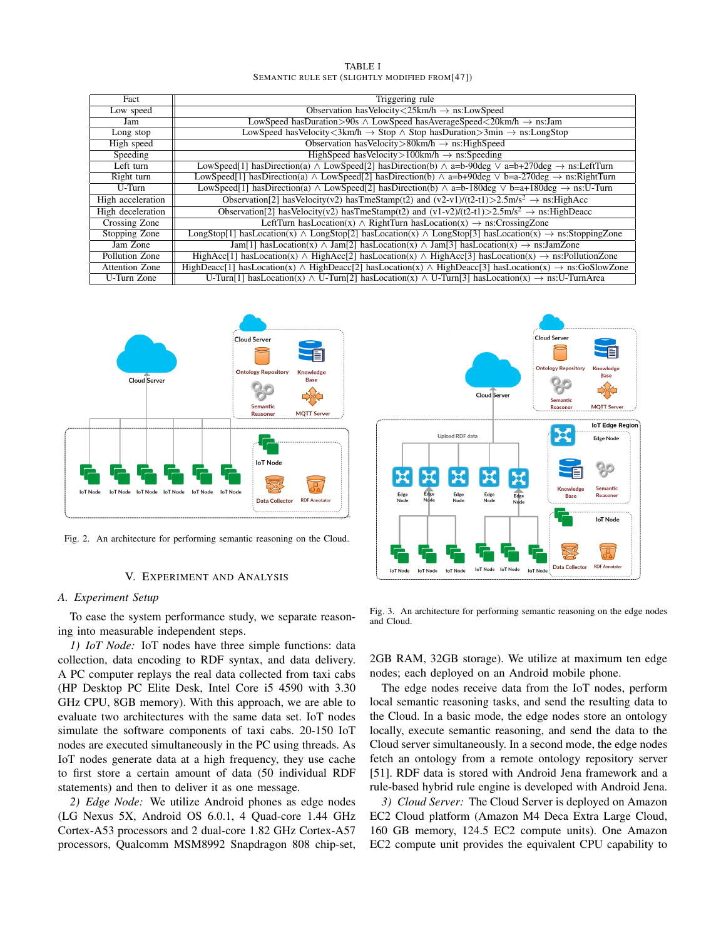TABLE I SEMANTIC RULE SET (SLIGHTLY MODIFIED FROM[47])

| Fact                  | Triggering rule                                                                                                                 |  |  |  |
|-----------------------|---------------------------------------------------------------------------------------------------------------------------------|--|--|--|
| Low speed             | Observation has Velocity $\langle 25km/h \rightarrow$ ns:LowSpeed                                                               |  |  |  |
| Jam                   | LowSpeed hasDuration>90s $\land$ LowSpeed hasAverageSpeed<20km/h $\rightarrow$ ns:Jam                                           |  |  |  |
| Long stop             | LowSpeed has Velocity $\langle 3km/h \rightarrow$ Stop $\wedge$ Stop has Duration $>3min \rightarrow$ ns: LongStop              |  |  |  |
| High speed            | Observation has Velocity > 80km/h $\rightarrow$ ns: HighSpeed                                                                   |  |  |  |
| Speeding              | HighSpeed has Velocity > 100km/h $\rightarrow$ ns: Speeding                                                                     |  |  |  |
| Left turn             | LowSpeed[1] hasDirection(a) $\land$ LowSpeed[2] hasDirection(b) $\land$ a=b-90deg $\lor$ a=b+270deg $\rightarrow$ ns:LeftTurn   |  |  |  |
| Right turn            | LowSpeed[1] hasDirection(a) $\land$ LowSpeed[2] hasDirection(b) $\land$ a=b+90deg $\lor$ b=a-270deg $\rightarrow$ ns:RightTurn  |  |  |  |
| U-Turn                | LowSpeed[1] hasDirection(a) $\land$ LowSpeed[2] hasDirection(b) $\land$ a=b-180deg $\lor$ b=a+180deg $\rightarrow$ ns:U-Turn    |  |  |  |
| High acceleration     | Observation[2] has Velocity(v2) has TmeStamp(t2) and (v2-v1)/(t2-t1)>2.5m/s <sup>2</sup> $\rightarrow$ ns:HighAcc               |  |  |  |
| High deceleration     | Observation [2] has Velocity (v2) has TmeStamp(t2) and (v1-v2)/(t2-t1) > 2.5m/s <sup>2</sup> $\rightarrow$ ns: High Deacc       |  |  |  |
| Crossing Zone         | LeftTurn hasLocation(x) $\land$ RightTurn hasLocation(x) $\rightarrow$ ns:CrossingZone                                          |  |  |  |
| Stopping Zone         | LongStop[1] hasLocation(x) $\land$ LongStop[2] hasLocation(x) $\land$ LongStop[3] hasLocation(x) $\rightarrow$ ns:StoppingZone  |  |  |  |
| Jam Zone              | Jam[1] hasLocation(x) $\land$ Jam[2] hasLocation(x) $\land$ Jam[3] hasLocation(x) $\rightarrow$ ns:JamZone                      |  |  |  |
| Pollution Zone        | HighAcc[1] hasLocation(x) $\land$ HighAcc[2] hasLocation(x) $\land$ HighAcc[3] hasLocation(x) $\rightarrow$ ns:PollutionZone    |  |  |  |
| <b>Attention Zone</b> | HighDeacc[1] hasLocation(x) $\land$ HighDeacc[2] hasLocation(x) $\land$ HighDeacc[3] hasLocation(x) $\rightarrow$ ns:GoSlowZone |  |  |  |
| U-Turn Zone           | U-Turn[1] has Location(x) $\land$ U-Turn[2] has Location(x) $\land$ U-Turn[3] has Location(x) $\rightarrow$ ns: U-TurnArea      |  |  |  |



Fig. 2. An architecture for performing semantic reasoning on the Cloud.

## V. EXPERIMENT AND ANALYSIS

#### *A. Experiment Setup*

To ease the system performance study, we separate reasoning into measurable independent steps.

*1) IoT Node:* IoT nodes have three simple functions: data collection, data encoding to RDF syntax, and data delivery. A PC computer replays the real data collected from taxi cabs (HP Desktop PC Elite Desk, Intel Core i5 4590 with 3.30 GHz CPU, 8GB memory). With this approach, we are able to evaluate two architectures with the same data set. IoT nodes simulate the software components of taxi cabs. 20-150 IoT nodes are executed simultaneously in the PC using threads. As IoT nodes generate data at a high frequency, they use cache to first store a certain amount of data (50 individual RDF statements) and then to deliver it as one message.

*2) Edge Node:* We utilize Android phones as edge nodes (LG Nexus 5X, Android OS 6.0.1, 4 Quad-core 1.44 GHz Cortex-A53 processors and 2 dual-core 1.82 GHz Cortex-A57 processors, Qualcomm MSM8992 Snapdragon 808 chip-set,



Fig. 3. An architecture for performing semantic reasoning on the edge nodes and Cloud.

2GB RAM, 32GB storage). We utilize at maximum ten edge nodes; each deployed on an Android mobile phone.

The edge nodes receive data from the IoT nodes, perform local semantic reasoning tasks, and send the resulting data to the Cloud. In a basic mode, the edge nodes store an ontology locally, execute semantic reasoning, and send the data to the Cloud server simultaneously. In a second mode, the edge nodes fetch an ontology from a remote ontology repository server [51]. RDF data is stored with Android Jena framework and a rule-based hybrid rule engine is developed with Android Jena.

*3) Cloud Server:* The Cloud Server is deployed on Amazon EC2 Cloud platform (Amazon M4 Deca Extra Large Cloud, 160 GB memory, 124.5 EC2 compute units). One Amazon EC2 compute unit provides the equivalent CPU capability to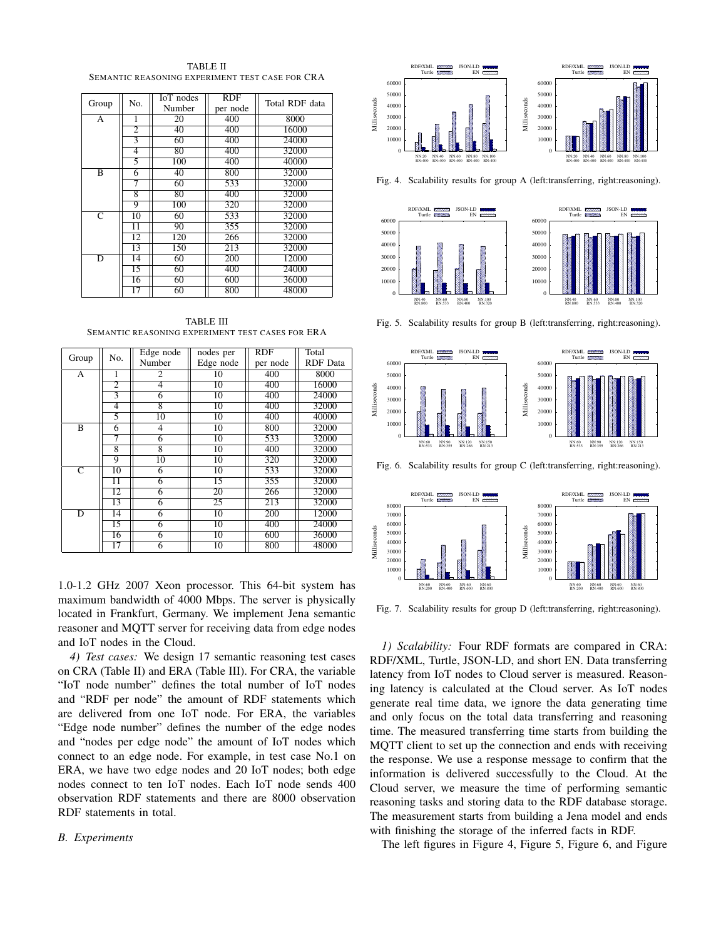TABLE II SEMANTIC REASONING EXPERIMENT TEST CASE FOR CRA

|                    | No.             | IoT nodes | <b>RDF</b> | Total RDF data |  |
|--------------------|-----------------|-----------|------------|----------------|--|
| Group              |                 | Number    | per node   |                |  |
| $\overline{A}$     | 1               | 20        | 400        | 8000           |  |
|                    | 2               | 40        | 400        | 16000          |  |
|                    | 3               | 60        | 400        | 24000          |  |
|                    | 4               | 80        | 400        | 32000          |  |
|                    | 5               | 100       | 400        | 40000          |  |
| B                  | 6               | 40        | 800        | 32000          |  |
|                    | 7               | 60        | 533        | 32000          |  |
|                    | $\overline{8}$  | 80        | 400        | 32000          |  |
|                    | 9               | 100       | 320        | 32000          |  |
| $\overline{\rm c}$ | 10              | 60        | 533        | 32000          |  |
|                    | $\overline{11}$ | 90        | 355        | 32000          |  |
|                    | 12              | 120       | 266        | 32000          |  |
|                    | 13              | 150       | 213        | 32000          |  |
| D                  | 14              | 60        | 200        | 12000          |  |
|                    | 15              | 60        | 400        | 24000          |  |
|                    | 16              | 60        | 600        | 36000          |  |
|                    | 17              | 60        | 800        | 48000          |  |

TABLE III SEMANTIC REASONING EXPERIMENT TEST CASES FOR ERA

| Group                   | No.            | Edge node      | nodes per       | <b>RDF</b> | Total           |
|-------------------------|----------------|----------------|-----------------|------------|-----------------|
|                         |                | Number         | Edge node       | per node   | <b>RDF</b> Data |
| A                       | 1              | 2              | 10              | 400        | 8000            |
|                         | $\overline{2}$ | 4              | 10              | 400        | 16000           |
|                         | $\overline{3}$ | 6              | $\overline{10}$ | 400        | 24000           |
|                         | 4              | $\overline{8}$ | $\overline{10}$ | 400        | 32000           |
|                         | 5              | 10             | 10              | 400        | 40000           |
| $\overline{\mathbf{B}}$ | 6              | 4              | $\overline{10}$ | 800        | 32000           |
|                         | 7              | 6              | $\overline{10}$ | 533        | 32000           |
|                         | $\overline{8}$ | $\overline{8}$ | $\overline{10}$ | 400        | 32000           |
|                         | 9              | 10             | 10              | 320        | 32000           |
| $\overline{C}$          | 10             | 6              | 10              | 533        | 32000           |
|                         | 11             | 6              | 15              | 355        | 32000           |
|                         | 12             | 6              | 20              | 266        | 32000           |
|                         | 13             | 6              | 25              | 213        | 32000           |
| D                       | 14             | 6              | 10              | 200        | 12000           |
|                         | 15             | 6              | 10              | 400        | 24000           |
|                         | 16             | 6              | 10              | 600        | 36000           |
|                         | 17             | 6              | $\overline{10}$ | 800        | 48000           |

1.0-1.2 GHz 2007 Xeon processor. This 64-bit system has maximum bandwidth of 4000 Mbps. The server is physically located in Frankfurt, Germany. We implement Jena semantic reasoner and MQTT server for receiving data from edge nodes and IoT nodes in the Cloud.

*4) Test cases:* We design 17 semantic reasoning test cases on CRA (Table II) and ERA (Table III). For CRA, the variable "IoT node number" defines the total number of IoT nodes and "RDF per node" the amount of RDF statements which are delivered from one IoT node. For ERA, the variables "Edge node number" defines the number of the edge nodes and "nodes per edge node" the amount of IoT nodes which connect to an edge node. For example, in test case No.1 on ERA, we have two edge nodes and 20 IoT nodes; both edge nodes connect to ten IoT nodes. Each IoT node sends 400 observation RDF statements and there are 8000 observation RDF statements in total.

## *B. Experiments*



Fig. 4. Scalability results for group A (left:transferring, right:reasoning).



Fig. 5. Scalability results for group B (left:transferring, right:reasoning).



Fig. 6. Scalability results for group C (left:transferring, right:reasoning).



Fig. 7. Scalability results for group D (left:transferring, right:reasoning).

*1) Scalability:* Four RDF formats are compared in CRA: RDF/XML, Turtle, JSON-LD, and short EN. Data transferring latency from IoT nodes to Cloud server is measured. Reasoning latency is calculated at the Cloud server. As IoT nodes generate real time data, we ignore the data generating time and only focus on the total data transferring and reasoning time. The measured transferring time starts from building the MQTT client to set up the connection and ends with receiving the response. We use a response message to confirm that the information is delivered successfully to the Cloud. At the Cloud server, we measure the time of performing semantic reasoning tasks and storing data to the RDF database storage. The measurement starts from building a Jena model and ends with finishing the storage of the inferred facts in RDF.

The left figures in Figure 4, Figure 5, Figure 6, and Figure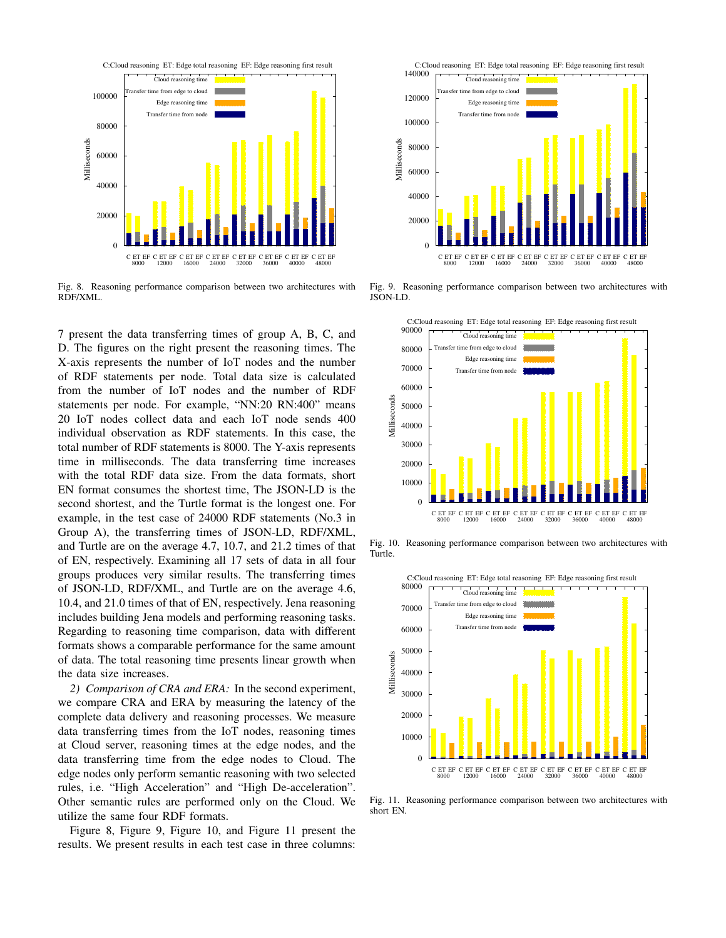

Fig. 8. Reasoning performance comparison between two architectures with RDF/XML.

7 present the data transferring times of group A, B, C, and D. The figures on the right present the reasoning times. The X-axis represents the number of IoT nodes and the number of RDF statements per node. Total data size is calculated from the number of IoT nodes and the number of RDF statements per node. For example, "NN:20 RN:400" means 20 IoT nodes collect data and each IoT node sends 400 individual observation as RDF statements. In this case, the total number of RDF statements is 8000. The Y-axis represents time in milliseconds. The data transferring time increases with the total RDF data size. From the data formats, short EN format consumes the shortest time, The JSON-LD is the second shortest, and the Turtle format is the longest one. For example, in the test case of 24000 RDF statements (No.3 in Group A), the transferring times of JSON-LD, RDF/XML, and Turtle are on the average 4.7, 10.7, and 21.2 times of that of EN, respectively. Examining all 17 sets of data in all four groups produces very similar results. The transferring times of JSON-LD, RDF/XML, and Turtle are on the average 4.6, 10.4, and 21.0 times of that of EN, respectively. Jena reasoning includes building Jena models and performing reasoning tasks. Regarding to reasoning time comparison, data with different formats shows a comparable performance for the same amount of data. The total reasoning time presents linear growth when the data size increases.

*2) Comparison of CRA and ERA:* In the second experiment, we compare CRA and ERA by measuring the latency of the complete data delivery and reasoning processes. We measure data transferring times from the IoT nodes, reasoning times at Cloud server, reasoning times at the edge nodes, and the data transferring time from the edge nodes to Cloud. The edge nodes only perform semantic reasoning with two selected rules, i.e. "High Acceleration" and "High De-acceleration". Other semantic rules are performed only on the Cloud. We utilize the same four RDF formats.

Figure 8, Figure 9, Figure 10, and Figure 11 present the results. We present results in each test case in three columns:

C:Cloud reasoning ET: Edge total reasoning EF: Edge reasoning first result



Fig. 9. Reasoning performance comparison between two architectures with JSON-LD.



Fig. 10. Reasoning performance comparison between two architectures with Turtle.



Fig. 11. Reasoning performance comparison between two architectures with short EN.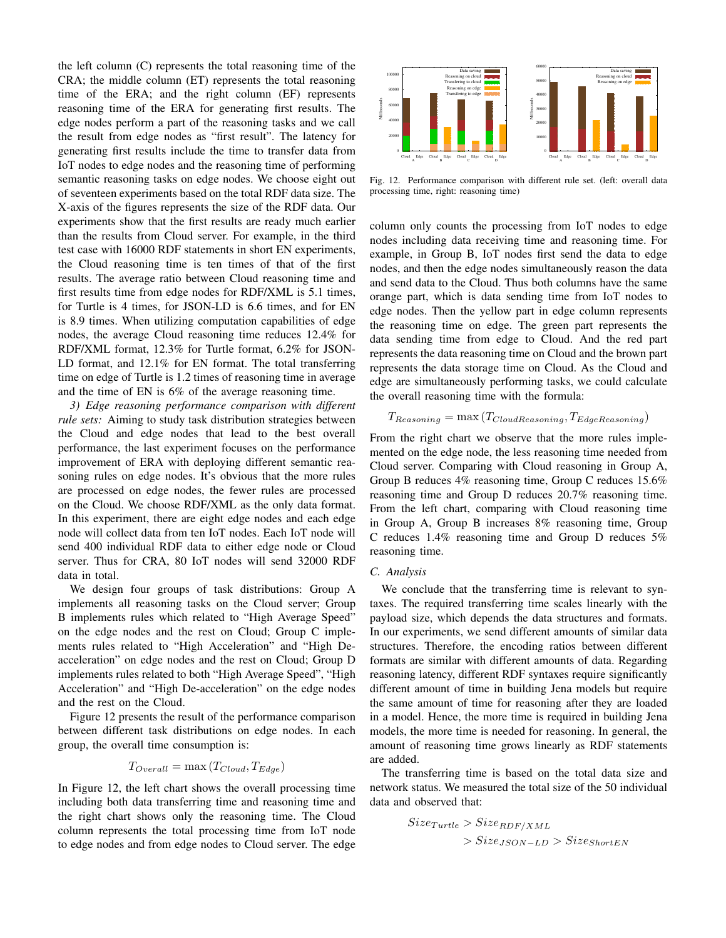the left column (C) represents the total reasoning time of the CRA; the middle column (ET) represents the total reasoning time of the ERA; and the right column (EF) represents reasoning time of the ERA for generating first results. The edge nodes perform a part of the reasoning tasks and we call the result from edge nodes as "first result". The latency for generating first results include the time to transfer data from IoT nodes to edge nodes and the reasoning time of performing semantic reasoning tasks on edge nodes. We choose eight out of seventeen experiments based on the total RDF data size. The X-axis of the figures represents the size of the RDF data. Our experiments show that the first results are ready much earlier than the results from Cloud server. For example, in the third test case with 16000 RDF statements in short EN experiments, the Cloud reasoning time is ten times of that of the first results. The average ratio between Cloud reasoning time and first results time from edge nodes for RDF/XML is 5.1 times, for Turtle is 4 times, for JSON-LD is 6.6 times, and for EN is 8.9 times. When utilizing computation capabilities of edge nodes, the average Cloud reasoning time reduces 12.4% for RDF/XML format, 12.3% for Turtle format, 6.2% for JSON-LD format, and 12.1% for EN format. The total transferring time on edge of Turtle is 1.2 times of reasoning time in average and the time of EN is 6% of the average reasoning time.

*3) Edge reasoning performance comparison with different rule sets:* Aiming to study task distribution strategies between the Cloud and edge nodes that lead to the best overall performance, the last experiment focuses on the performance improvement of ERA with deploying different semantic reasoning rules on edge nodes. It's obvious that the more rules are processed on edge nodes, the fewer rules are processed on the Cloud. We choose RDF/XML as the only data format. In this experiment, there are eight edge nodes and each edge node will collect data from ten IoT nodes. Each IoT node will send 400 individual RDF data to either edge node or Cloud server. Thus for CRA, 80 IoT nodes will send 32000 RDF data in total.

We design four groups of task distributions: Group A implements all reasoning tasks on the Cloud server; Group B implements rules which related to "High Average Speed" on the edge nodes and the rest on Cloud; Group C implements rules related to "High Acceleration" and "High Deacceleration" on edge nodes and the rest on Cloud; Group D implements rules related to both "High Average Speed", "High Acceleration" and "High De-acceleration" on the edge nodes and the rest on the Cloud.

Figure 12 presents the result of the performance comparison between different task distributions on edge nodes. In each group, the overall time consumption is:

$$
T_{Overall} = \max (T_{Cloud}, T_{Edge})
$$

In Figure 12, the left chart shows the overall processing time including both data transferring time and reasoning time and the right chart shows only the reasoning time. The Cloud column represents the total processing time from IoT node to edge nodes and from edge nodes to Cloud server. The edge



Fig. 12. Performance comparison with different rule set. (left: overall data processing time, right: reasoning time)

column only counts the processing from IoT nodes to edge nodes including data receiving time and reasoning time. For example, in Group B, IoT nodes first send the data to edge nodes, and then the edge nodes simultaneously reason the data and send data to the Cloud. Thus both columns have the same orange part, which is data sending time from IoT nodes to edge nodes. Then the yellow part in edge column represents the reasoning time on edge. The green part represents the data sending time from edge to Cloud. And the red part represents the data reasoning time on Cloud and the brown part represents the data storage time on Cloud. As the Cloud and edge are simultaneously performing tasks, we could calculate the overall reasoning time with the formula:

$$
T_{Reasoning} = \max(T_{CloudReasoning}, T_{EdgeReasoning})
$$

From the right chart we observe that the more rules implemented on the edge node, the less reasoning time needed from Cloud server. Comparing with Cloud reasoning in Group A, Group B reduces 4% reasoning time, Group C reduces 15.6% reasoning time and Group D reduces 20.7% reasoning time. From the left chart, comparing with Cloud reasoning time in Group A, Group B increases 8% reasoning time, Group C reduces 1.4% reasoning time and Group D reduces 5% reasoning time.

#### *C. Analysis*

We conclude that the transferring time is relevant to syntaxes. The required transferring time scales linearly with the payload size, which depends the data structures and formats. In our experiments, we send different amounts of similar data structures. Therefore, the encoding ratios between different formats are similar with different amounts of data. Regarding reasoning latency, different RDF syntaxes require significantly different amount of time in building Jena models but require the same amount of time for reasoning after they are loaded in a model. Hence, the more time is required in building Jena models, the more time is needed for reasoning. In general, the amount of reasoning time grows linearly as RDF statements are added.

The transferring time is based on the total data size and network status. We measured the total size of the 50 individual data and observed that:

$$
Size_{Turtle} > Size_{RDF/XML}
$$
  
> Size<sub>ISON-LD</sub> > Size<sub>ShortEN</sub>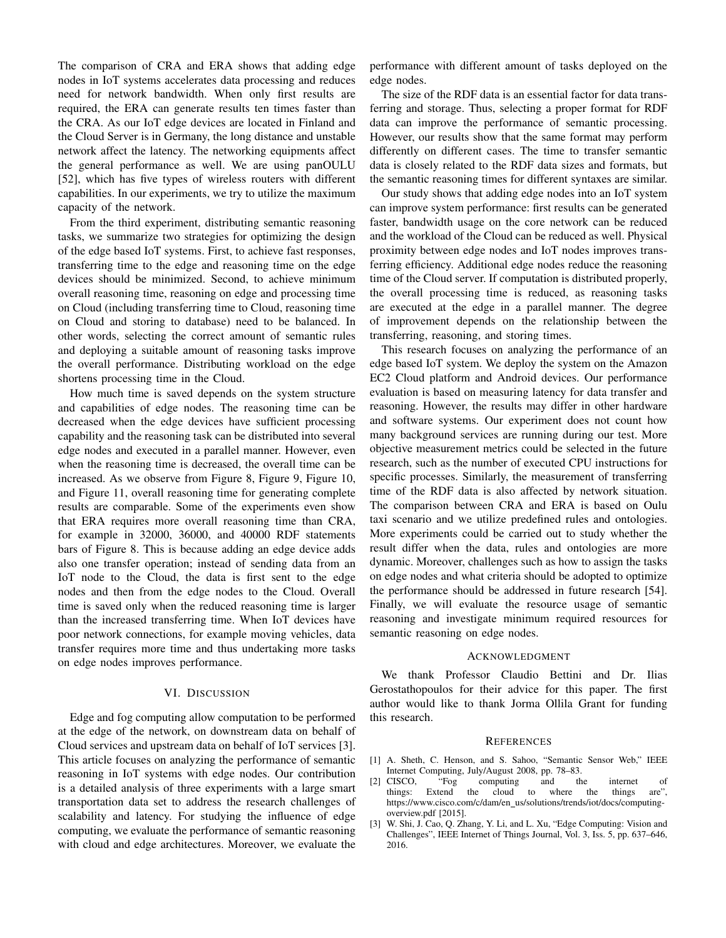The comparison of CRA and ERA shows that adding edge nodes in IoT systems accelerates data processing and reduces need for network bandwidth. When only first results are required, the ERA can generate results ten times faster than the CRA. As our IoT edge devices are located in Finland and the Cloud Server is in Germany, the long distance and unstable network affect the latency. The networking equipments affect the general performance as well. We are using panOULU [52], which has five types of wireless routers with different capabilities. In our experiments, we try to utilize the maximum capacity of the network.

From the third experiment, distributing semantic reasoning tasks, we summarize two strategies for optimizing the design of the edge based IoT systems. First, to achieve fast responses, transferring time to the edge and reasoning time on the edge devices should be minimized. Second, to achieve minimum overall reasoning time, reasoning on edge and processing time on Cloud (including transferring time to Cloud, reasoning time on Cloud and storing to database) need to be balanced. In other words, selecting the correct amount of semantic rules and deploying a suitable amount of reasoning tasks improve the overall performance. Distributing workload on the edge shortens processing time in the Cloud.

How much time is saved depends on the system structure and capabilities of edge nodes. The reasoning time can be decreased when the edge devices have sufficient processing capability and the reasoning task can be distributed into several edge nodes and executed in a parallel manner. However, even when the reasoning time is decreased, the overall time can be increased. As we observe from Figure 8, Figure 9, Figure 10, and Figure 11, overall reasoning time for generating complete results are comparable. Some of the experiments even show that ERA requires more overall reasoning time than CRA, for example in 32000, 36000, and 40000 RDF statements bars of Figure 8. This is because adding an edge device adds also one transfer operation; instead of sending data from an IoT node to the Cloud, the data is first sent to the edge nodes and then from the edge nodes to the Cloud. Overall time is saved only when the reduced reasoning time is larger than the increased transferring time. When IoT devices have poor network connections, for example moving vehicles, data transfer requires more time and thus undertaking more tasks on edge nodes improves performance.

#### VI. DISCUSSION

Edge and fog computing allow computation to be performed at the edge of the network, on downstream data on behalf of Cloud services and upstream data on behalf of IoT services [3]. This article focuses on analyzing the performance of semantic reasoning in IoT systems with edge nodes. Our contribution is a detailed analysis of three experiments with a large smart transportation data set to address the research challenges of scalability and latency. For studying the influence of edge computing, we evaluate the performance of semantic reasoning with cloud and edge architectures. Moreover, we evaluate the

performance with different amount of tasks deployed on the edge nodes.

The size of the RDF data is an essential factor for data transferring and storage. Thus, selecting a proper format for RDF data can improve the performance of semantic processing. However, our results show that the same format may perform differently on different cases. The time to transfer semantic data is closely related to the RDF data sizes and formats, but the semantic reasoning times for different syntaxes are similar.

Our study shows that adding edge nodes into an IoT system can improve system performance: first results can be generated faster, bandwidth usage on the core network can be reduced and the workload of the Cloud can be reduced as well. Physical proximity between edge nodes and IoT nodes improves transferring efficiency. Additional edge nodes reduce the reasoning time of the Cloud server. If computation is distributed properly, the overall processing time is reduced, as reasoning tasks are executed at the edge in a parallel manner. The degree of improvement depends on the relationship between the transferring, reasoning, and storing times.

This research focuses on analyzing the performance of an edge based IoT system. We deploy the system on the Amazon EC2 Cloud platform and Android devices. Our performance evaluation is based on measuring latency for data transfer and reasoning. However, the results may differ in other hardware and software systems. Our experiment does not count how many background services are running during our test. More objective measurement metrics could be selected in the future research, such as the number of executed CPU instructions for specific processes. Similarly, the measurement of transferring time of the RDF data is also affected by network situation. The comparison between CRA and ERA is based on Oulu taxi scenario and we utilize predefined rules and ontologies. More experiments could be carried out to study whether the result differ when the data, rules and ontologies are more dynamic. Moreover, challenges such as how to assign the tasks on edge nodes and what criteria should be adopted to optimize the performance should be addressed in future research [54]. Finally, we will evaluate the resource usage of semantic reasoning and investigate minimum required resources for semantic reasoning on edge nodes.

#### ACKNOWLEDGMENT

We thank Professor Claudio Bettini and Dr. Ilias Gerostathopoulos for their advice for this paper. The first author would like to thank Jorma Ollila Grant for funding this research.

#### **REFERENCES**

- [1] A. Sheth, C. Henson, and S. Sahoo, "Semantic Sensor Web," IEEE Internet Computing, July/August 2008, pp. 78–83.
- [2] CISCO, "Fog computing and the internet of things: Extend the cloud to where the things are", https://www.cisco.com/c/dam/en us/solutions/trends/iot/docs/computingoverview.pdf [2015].
- [3] W. Shi, J. Cao, Q. Zhang, Y. Li, and L. Xu, "Edge Computing: Vision and Challenges", IEEE Internet of Things Journal, Vol. 3, Iss. 5, pp. 637–646, 2016.